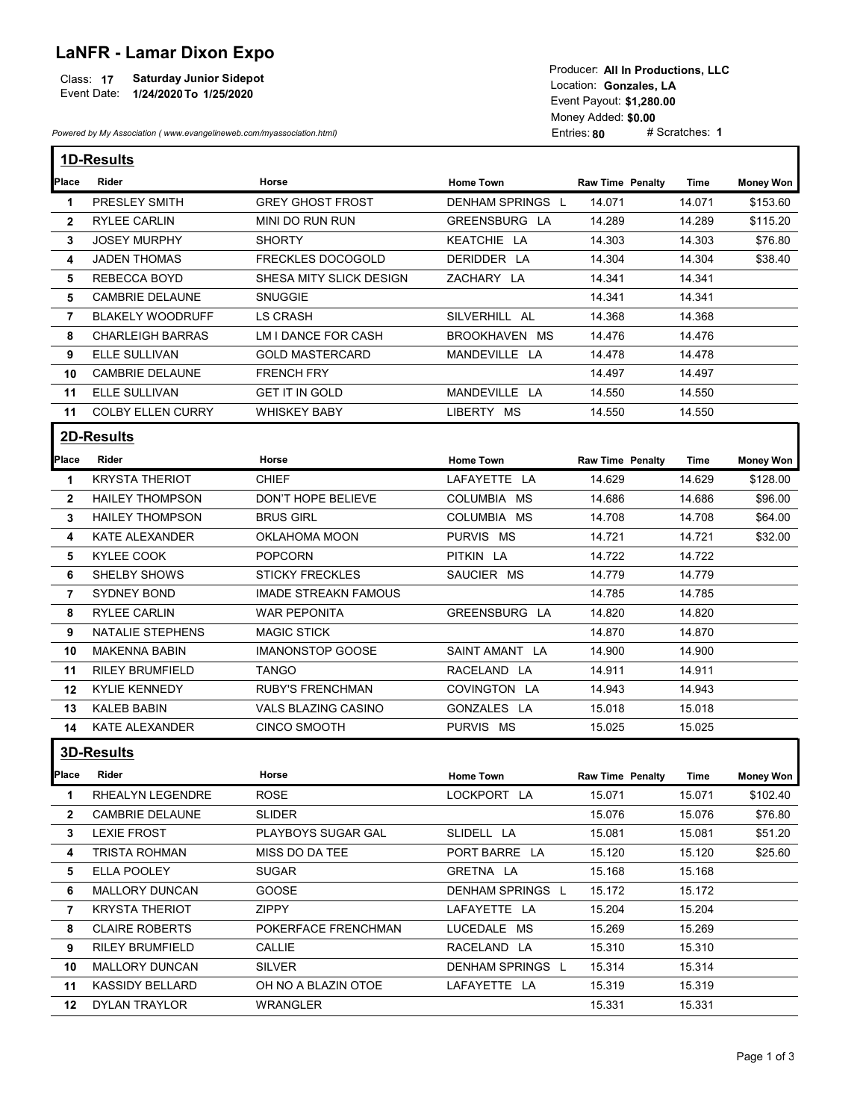## LaNFR - Lamar Dixon Expo

|             |                                | <b>1000001. AILILE TUGGUUTS. LLV</b> |
|-------------|--------------------------------|--------------------------------------|
| Class: 17   | <b>Saturday Junior Sidepot</b> | Location: Gonzales, LA               |
| Event Date: | 1/24/2020 To 1/25/2020         |                                      |
|             |                                | Event Pavout: \$1.280.00             |

| <b>LaNFR - Lamar Dixon Expo</b><br><b>Saturday Junior Sidepot</b><br>Class: 17<br>Event Date: 1/24/2020 To 1/25/2020<br>Powered by My Association (www.evangelineweb.com/myassociation.html) |                                            |                                    | Producer: All In Productions, LLC<br>Location: Gonzales, LA<br>Event Payout: \$1,280.00<br>Money Added: \$0.00<br># Scratches: 1<br>Entries: 80 |                         |                  |                  |  |
|----------------------------------------------------------------------------------------------------------------------------------------------------------------------------------------------|--------------------------------------------|------------------------------------|-------------------------------------------------------------------------------------------------------------------------------------------------|-------------------------|------------------|------------------|--|
|                                                                                                                                                                                              |                                            |                                    |                                                                                                                                                 |                         |                  |                  |  |
|                                                                                                                                                                                              | 1D-Results                                 |                                    |                                                                                                                                                 |                         |                  |                  |  |
| Place                                                                                                                                                                                        | Rider                                      | Horse                              | <b>Home Town</b>                                                                                                                                | <b>Raw Time Penalty</b> | Time             | <b>Money Won</b> |  |
| $\mathbf{1}$                                                                                                                                                                                 | PRESLEY SMITH                              | <b>GREY GHOST FROST</b>            | DENHAM SPRINGS L                                                                                                                                | 14.071                  | 14.071           | \$153.60         |  |
| $\mathbf{2}$                                                                                                                                                                                 | <b>RYLEE CARLIN</b>                        | MINI DO RUN RUN                    | GREENSBURG LA                                                                                                                                   | 14.289                  | 14.289           | \$115.20         |  |
| 3                                                                                                                                                                                            | <b>JOSEY MURPHY</b><br><b>JADEN THOMAS</b> | <b>SHORTY</b><br>FRECKLES DOCOGOLD | KEATCHIE LA<br>DERIDDER LA                                                                                                                      | 14.303<br>14.304        | 14.303           | \$76.80          |  |
| 4<br>5                                                                                                                                                                                       | REBECCA BOYD                               | SHESA MITY SLICK DESIGN            | ZACHARY LA                                                                                                                                      | 14.341                  | 14.304<br>14.341 | \$38.40          |  |
| 5                                                                                                                                                                                            | <b>CAMBRIE DELAUNE</b>                     | SNUGGIE                            |                                                                                                                                                 | 14.341                  | 14.341           |                  |  |
| $\overline{7}$                                                                                                                                                                               | <b>BLAKELY WOODRUFF</b>                    | <b>LS CRASH</b>                    | SILVERHILL AL                                                                                                                                   | 14.368                  | 14.368           |                  |  |
| 8                                                                                                                                                                                            | <b>CHARLEIGH BARRAS</b>                    | LM I DANCE FOR CASH                | BROOKHAVEN MS                                                                                                                                   | 14.476                  | 14.476           |                  |  |
| 9                                                                                                                                                                                            | ELLE SULLIVAN                              | <b>GOLD MASTERCARD</b>             | MANDEVILLE LA                                                                                                                                   | 14.478                  | 14.478           |                  |  |
| 10                                                                                                                                                                                           | <b>CAMBRIE DELAUNE</b>                     | <b>FRENCH FRY</b>                  |                                                                                                                                                 | 14.497                  | 14.497           |                  |  |
| 11                                                                                                                                                                                           | ELLE SULLIVAN                              | <b>GET IT IN GOLD</b>              | MANDEVILLE LA                                                                                                                                   | 14.550                  | 14.550           |                  |  |
| 11                                                                                                                                                                                           | COLBY ELLEN CURRY                          | <b>WHISKEY BABY</b>                | LIBERTY MS                                                                                                                                      | 14.550                  | 14.550           |                  |  |
|                                                                                                                                                                                              | 2D-Results                                 |                                    |                                                                                                                                                 |                         |                  |                  |  |
|                                                                                                                                                                                              |                                            |                                    |                                                                                                                                                 |                         |                  |                  |  |
| <b>Place</b>                                                                                                                                                                                 | Rider                                      | Horse                              | <b>Home Town</b>                                                                                                                                | <b>Raw Time Penalty</b> | Time             | <b>Money Won</b> |  |
| $\mathbf 1$                                                                                                                                                                                  | <b>KRYSTA THERIOT</b>                      | <b>CHIEF</b>                       | LAFAYETTE LA                                                                                                                                    | 14.629                  | 14.629           | \$128.00         |  |
| $\mathbf{2}$                                                                                                                                                                                 | <b>HAILEY THOMPSON</b>                     | DON'T HOPE BELIEVE                 | COLUMBIA MS                                                                                                                                     | 14.686                  | 14.686           | \$96.00          |  |
| 3                                                                                                                                                                                            | <b>HAILEY THOMPSON</b>                     | <b>BRUS GIRL</b>                   | COLUMBIA MS                                                                                                                                     | 14.708                  | 14.708           | \$64.00          |  |
| 4                                                                                                                                                                                            | KATE ALEXANDER                             | OKLAHOMA MOON                      | PURVIS MS                                                                                                                                       | 14.721                  | 14.721           | \$32.00          |  |
| 5                                                                                                                                                                                            | KYLEE COOK                                 | <b>POPCORN</b>                     | PITKIN LA                                                                                                                                       | 14.722                  | 14.722           |                  |  |
| 6                                                                                                                                                                                            | <b>SHELBY SHOWS</b>                        | <b>STICKY FRECKLES</b>             | SAUCIER MS                                                                                                                                      | 14.779                  | 14.779           |                  |  |
| 7                                                                                                                                                                                            | SYDNEY BOND                                | <b>IMADE STREAKN FAMOUS</b>        |                                                                                                                                                 | 14.785                  | 14.785           |                  |  |
| 8                                                                                                                                                                                            | <b>RYLEE CARLIN</b>                        | <b>WAR PEPONITA</b>                | GREENSBURG LA                                                                                                                                   | 14.820                  | 14.820           |                  |  |
| 9                                                                                                                                                                                            | NATALIE STEPHENS                           | <b>MAGIC STICK</b>                 |                                                                                                                                                 | 14.870                  | 14.870           |                  |  |
| 10                                                                                                                                                                                           | MAKENNA BABIN                              | <b>IMANONSTOP GOOSE</b>            | SAINT AMANT LA                                                                                                                                  | 14.900                  | 14.900           |                  |  |
| 11                                                                                                                                                                                           | <b>RILEY BRUMFIELD</b>                     | <b>TANGO</b>                       | RACELAND LA                                                                                                                                     | 14.911                  | 14.911           |                  |  |
|                                                                                                                                                                                              | 12 KYLIE KENNEDY                           | <b>RUBY'S FRENCHMAN</b>            | COVINGTON LA                                                                                                                                    | 14.943                  | 14.943           |                  |  |
| 13                                                                                                                                                                                           | <b>KALEB BABIN</b>                         | VALS BLAZING CASINO                | GONZALES LA                                                                                                                                     | 15.018                  | 15.018           |                  |  |
|                                                                                                                                                                                              | 14 KATE ALEXANDER                          | <b>CINCO SMOOTH</b>                | PURVIS MS                                                                                                                                       | 15.025                  | 15.025           |                  |  |
|                                                                                                                                                                                              | 3D-Results                                 |                                    |                                                                                                                                                 |                         |                  |                  |  |
| Place                                                                                                                                                                                        | Rider                                      | Horse                              | <b>Home Town</b>                                                                                                                                | <b>Raw Time Penalty</b> | Time             | <b>Money Won</b> |  |
| $\mathbf 1$                                                                                                                                                                                  | RHEALYN LEGENDRE                           | ROSE                               | LOCKPORT LA                                                                                                                                     | 15.071                  | 15.071           | \$102.40         |  |
| $\mathbf{2}$                                                                                                                                                                                 | CAMBRIE DELAUNE                            | <b>SLIDER</b>                      |                                                                                                                                                 | 15.076                  | 15.076           | \$76.80          |  |
| 3                                                                                                                                                                                            | <b>LEXIE FROST</b>                         | PLAYBOYS SUGAR GAL                 | SLIDELL LA                                                                                                                                      | 15.081                  | 15.081           | \$51.20          |  |
| 4                                                                                                                                                                                            | <b>TRISTA ROHMAN</b>                       | MISS DO DA TEE                     | PORT BARRE LA                                                                                                                                   | 15.120                  | 15.120           | \$25.60          |  |
| 5                                                                                                                                                                                            | <b>ELLA POOLEY</b>                         | <b>SUGAR</b>                       | GRETNA LA                                                                                                                                       | 15.168                  | 15.168           |                  |  |
| 6                                                                                                                                                                                            | MALLORY DUNCAN                             | GOOSE                              | DENHAM SPRINGS L                                                                                                                                | 15.172                  | 15.172           |                  |  |
| 7                                                                                                                                                                                            | <b>KRYSTA THERIOT</b>                      | ZIPPY                              | LAFAYETTE LA                                                                                                                                    | 15.204                  | 15.204           |                  |  |
| 8                                                                                                                                                                                            | <b>CLAIRE ROBERTS</b>                      | POKERFACE FRENCHMAN                | LUCEDALE MS                                                                                                                                     | 15.269                  | 15.269           |                  |  |
| 9                                                                                                                                                                                            | <b>RILEY BRUMFIELD</b>                     | CALLIE                             | RACELAND LA                                                                                                                                     | 15.310                  | 15.310           |                  |  |
| 10                                                                                                                                                                                           | MALLORY DUNCAN                             | <b>SILVER</b>                      | DENHAM SPRINGS L                                                                                                                                | 15.314                  | 15.314           |                  |  |
| 11                                                                                                                                                                                           | KASSIDY BELLARD                            | OH NO A BLAZIN OTOE                | LAFAYETTE LA                                                                                                                                    | 15.319                  | 15.319           |                  |  |
|                                                                                                                                                                                              |                                            |                                    |                                                                                                                                                 |                         |                  |                  |  |
| 12                                                                                                                                                                                           | DYLAN TRAYLOR                              | WRANGLER                           |                                                                                                                                                 | 15.331                  | 15.331           |                  |  |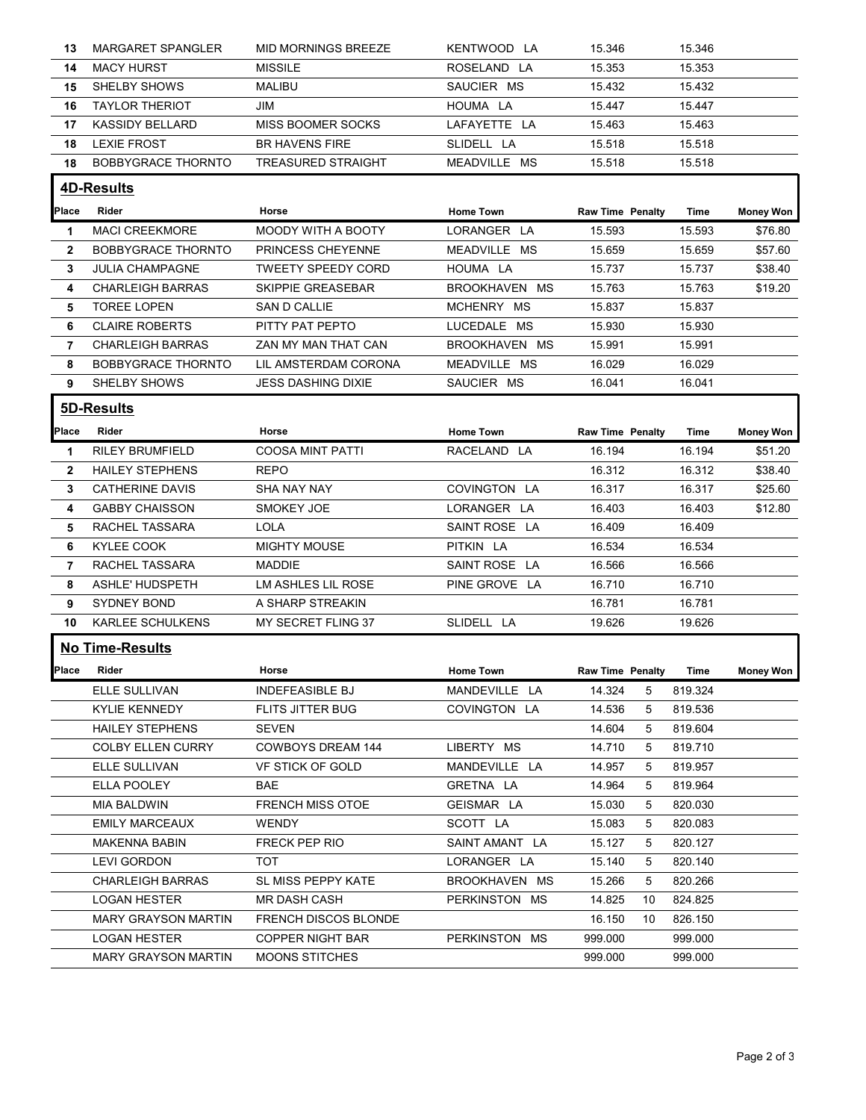| 13           | <b>MARGARET SPANGLER</b>                          | <b>MID MORNINGS BREEZE</b>                       | KENTWOOD LA      | 15.346                  |    | 15.346             |                  |
|--------------|---------------------------------------------------|--------------------------------------------------|------------------|-------------------------|----|--------------------|------------------|
| 14           | <b>MACY HURST</b>                                 | <b>MISSILE</b>                                   | ROSELAND LA      | 15.353                  |    | 15.353             |                  |
| 15           | SHELBY SHOWS                                      | MALIBU                                           | SAUCIER MS       | 15.432                  |    | 15.432             |                  |
| 16           | <b>TAYLOR THERIOT</b>                             | JIM                                              | HOUMA LA         | 15.447                  |    | 15.447             |                  |
| 17           | KASSIDY BELLARD                                   | MISS BOOMER SOCKS                                | LAFAYETTE LA     | 15.463                  |    | 15.463             |                  |
| 18           | LEXIE FROST                                       | <b>BR HAVENS FIRE</b>                            | SLIDELL LA       | 15.518                  |    | 15.518             |                  |
|              | <b>BOBBYGRACE THORNTO</b>                         | <b>TREASURED STRAIGHT</b>                        | MEADVILLE MS     | 15.518                  |    | 15.518             |                  |
| 18           |                                                   |                                                  |                  |                         |    |                    |                  |
|              | 4D-Results                                        |                                                  |                  |                         |    |                    |                  |
| Place        | Rider                                             | Horse                                            | <b>Home Town</b> | <b>Raw Time Penalty</b> |    | Time               | <b>Money Won</b> |
| -1           | <b>MACI CREEKMORE</b>                             | <b>MOODY WITH A BOOTY</b>                        | LORANGER LA      | 15.593                  |    | 15.593             | \$76.80          |
| $\mathbf{2}$ | <b>BOBBYGRACE THORNTO</b>                         | PRINCESS CHEYENNE                                | MEADVILLE MS     | 15.659                  |    | 15.659             | \$57.60          |
| 3            | <b>JULIA CHAMPAGNE</b>                            | <b>TWEETY SPEEDY CORD</b>                        | HOUMA LA         | 15.737                  |    | 15.737             | \$38.40          |
| 4            | <b>CHARLEIGH BARRAS</b>                           | SKIPPIE GREASEBAR                                | BROOKHAVEN MS    | 15.763                  |    | 15.763             | \$19.20          |
| 5.           | <b>TOREE LOPEN</b>                                | SAN D CALLIE                                     | MCHENRY MS       | 15.837                  |    | 15.837             |                  |
| 6            | <b>CLAIRE ROBERTS</b>                             | PITTY PAT PEPTO                                  | LUCEDALE MS      | 15.930                  |    | 15.930             |                  |
| 7            | <b>CHARLEIGH BARRAS</b>                           | ZAN MY MAN THAT CAN                              | BROOKHAVEN MS    | 15.991                  |    | 15.991             |                  |
| 8            | <b>BOBBYGRACE THORNTO</b>                         | LIL AMSTERDAM CORONA                             | MEADVILLE MS     | 16.029                  |    | 16.029             |                  |
| 9            | SHELBY SHOWS                                      | <b>JESS DASHING DIXIE</b>                        | SAUCIER MS       | 16.041                  |    | 16.041             |                  |
|              |                                                   |                                                  |                  |                         |    |                    |                  |
|              | 5D-Results                                        |                                                  |                  |                         |    |                    |                  |
| Place        | Rider                                             | Horse                                            | Home Town        | <b>Raw Time Penalty</b> |    | Time               | <b>Money Won</b> |
| -1           | <b>RILEY BRUMFIELD</b>                            | <b>COOSA MINT PATTI</b>                          | RACELAND LA      | 16.194                  |    | 16.194             | \$51.20          |
| $\mathbf{2}$ | <b>HAILEY STEPHENS</b>                            | <b>REPO</b>                                      |                  | 16.312                  |    | 16.312             | \$38.40          |
| 3            | <b>CATHERINE DAVIS</b>                            | SHA NAY NAY                                      | COVINGTON LA     | 16.317                  |    | 16.317             | \$25.60          |
| 4            | <b>GABBY CHAISSON</b>                             | SMOKEY JOE                                       | LORANGER LA      | 16.403                  |    | 16.403             | \$12.80          |
| 5.           | RACHEL TASSARA                                    | LOLA                                             | SAINT ROSE LA    | 16.409                  |    | 16.409             |                  |
| 6            | KYLEE COOK                                        | <b>MIGHTY MOUSE</b>                              | PITKIN LA        | 16.534                  |    | 16.534             |                  |
| 7            | RACHEL TASSARA                                    | MADDIE                                           | SAINT ROSE LA    | 16.566                  |    | 16.566             |                  |
| 8            | ASHLE' HUDSPETH                                   | LM ASHLES LIL ROSE                               | PINE GROVE LA    | 16.710                  |    | 16.710             |                  |
| 9            | <b>SYDNEY BOND</b>                                | A SHARP STREAKIN                                 |                  | 16.781                  |    | 16.781             |                  |
| 10           | KARLEE SCHULKENS                                  | MY SECRET FLING 37                               | SLIDELL LA       | 19.626                  |    | 19.626             |                  |
|              |                                                   |                                                  |                  |                         |    |                    |                  |
|              | <b>No Time-Results</b>                            |                                                  |                  |                         |    |                    |                  |
| <b>Place</b> | Rider                                             | Horse                                            | <b>Home Town</b> | <b>Raw Time Penalty</b> |    | Time               | <b>Money Won</b> |
|              | ELLE SULLIVAN                                     | <b>INDEFEASIBLE BJ</b>                           | MANDEVILLE LA    | 14.324                  | 5  | 819.324            |                  |
|              | <b>KYLIE KENNEDY</b>                              | FLITS JITTER BUG                                 | COVINGTON LA     | 14.536                  | 5  | 819.536            |                  |
|              | <b>HAILEY STEPHENS</b>                            | SEVEN                                            |                  | 14.604                  | 5  | 819.604            |                  |
|              | <b>COLBY ELLEN CURRY</b>                          | <b>COWBOYS DREAM 144</b>                         | LIBERTY MS       | 14.710                  | 5  | 819.710            |                  |
|              |                                                   | VF STICK OF GOLD                                 | MANDEVILLE LA    | 14.957                  | 5  | 819.957            |                  |
|              | ELLE SULLIVAN                                     |                                                  |                  |                         | 5  | 819.964            |                  |
|              | ELLA POOLEY                                       | <b>BAE</b>                                       | GRETNA LA        | 14.964                  |    |                    |                  |
|              | MIA BALDWIN                                       | FRENCH MISS OTOE                                 | GEISMAR LA       | 15.030                  | 5  | 820.030            |                  |
|              | <b>EMILY MARCEAUX</b>                             | WENDY                                            | SCOTT LA         | 15.083                  | 5  | 820.083            |                  |
|              | <b>MAKENNA BABIN</b>                              | FRECK PEP RIO                                    | SAINT AMANT LA   | 15.127                  | 5  | 820.127            |                  |
|              |                                                   | TOT                                              |                  |                         | 5  |                    |                  |
|              | <b>LEVI GORDON</b>                                |                                                  | LORANGER LA      | 15.140                  |    | 820.140            |                  |
|              | <b>CHARLEIGH BARRAS</b>                           | SL MISS PEPPY KATE                               | BROOKHAVEN MS    | 15.266                  | 5  | 820.266            |                  |
|              | <b>LOGAN HESTER</b>                               | <b>MR DASH CASH</b>                              | PERKINSTON MS    | 14.825                  | 10 | 824.825            |                  |
|              | <b>MARY GRAYSON MARTIN</b>                        | <b>FRENCH DISCOS BLONDE</b>                      |                  | 16.150                  | 10 | 826.150            |                  |
|              | <b>LOGAN HESTER</b><br><b>MARY GRAYSON MARTIN</b> | <b>COPPER NIGHT BAR</b><br><b>MOONS STITCHES</b> | PERKINSTON MS    | 999.000<br>999.000      |    | 999.000<br>999.000 |                  |